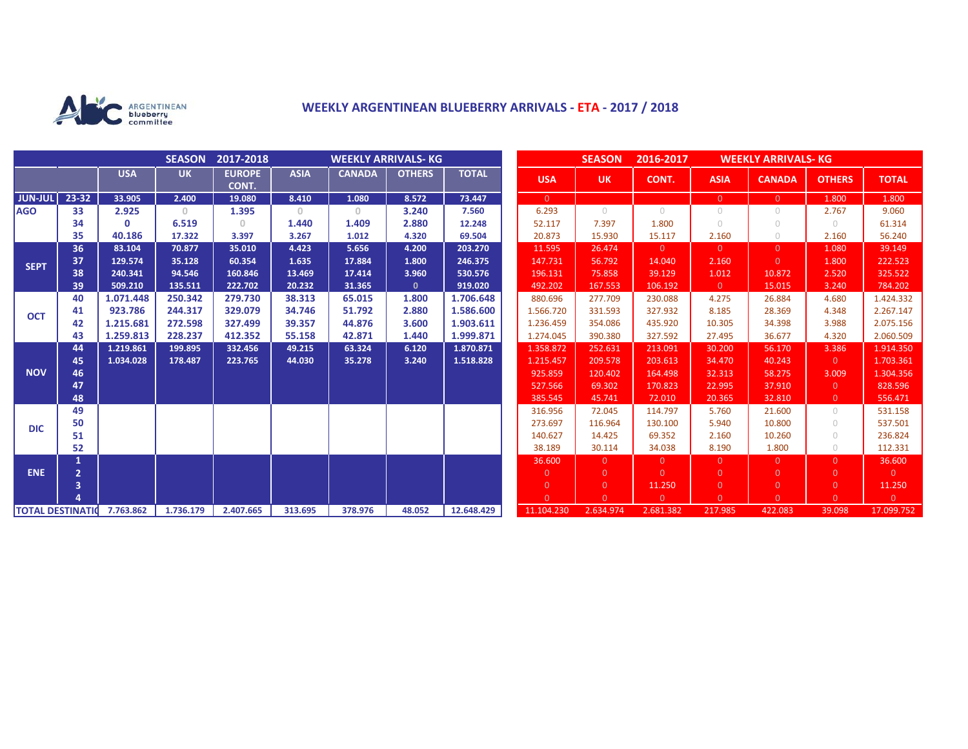

## **WEEKLY ARGENTINEAN BLUEBERRY ARRIVALS - ETA - 2017 / 2018**

|                          |                |              | <b>SEASON</b> | 2017-2018              | <b>WEEKLY ARRIVALS- KG</b>            |               |               |              |  | <b>SEASON</b><br>2016-2017<br><b>WEEKLY ARRIVALS- KG</b> |                |            |                |                |                |                |
|--------------------------|----------------|--------------|---------------|------------------------|---------------------------------------|---------------|---------------|--------------|--|----------------------------------------------------------|----------------|------------|----------------|----------------|----------------|----------------|
|                          |                | <b>USA</b>   | <b>UK</b>     | <b>EUROPE</b><br>CONT. | <b>ASIA</b>                           | <b>CANADA</b> | <b>OTHERS</b> | <b>TOTAL</b> |  | <b>USA</b>                                               | <b>UK</b>      | CONT.      | <b>ASIA</b>    | <b>CANADA</b>  | <b>OTHERS</b>  | <b>TOTAL</b>   |
| <b>JUN-JUL</b>           | $23 - 32$      | 33.905       | 2.400         | 19.080                 | 8.410                                 | 1.080         | 8.572         | 73.447       |  | $\overline{0}$                                           |                |            | $\overline{0}$ | $\Omega$       | 1.800          | 1.800          |
| <b>AGO</b>               | 33             | 2.925        | $\mathbf{0}$  | 1.395                  | $\begin{array}{c} 0 \\ 0 \end{array}$ | $\circ$       | 3.240         | 7.560        |  | 6.293                                                    | $\bigcirc$     | $\bigcirc$ | $\circ$        | 0              | 2.767          | 9.060          |
|                          | 34             | $\mathbf{0}$ | 6.519         | 0                      | 1.440                                 | 1.409         | 2.880         | 12.248       |  | 52.117                                                   | 7.397          | 1.800      | $\bigcirc$     | $\bigcirc$     | $\bigcirc$     | 61.314         |
|                          | 35             | 40.186       | 17.322        | 3.397                  | 3.267                                 | 1.012         | 4.320         | 69.504       |  | 20.873                                                   | 15.930         | 15.117     | 2.160          | $\bigcirc$     | 2.160          | 56.240         |
| <b>SEPT</b>              | 36             | 83.104       | 70.877        | 35.010                 | 4.423                                 | 5.656         | 4.200         | 203.270      |  | 11.595                                                   | 26.474         | $\Omega$   | $\overline{0}$ | $\Omega$       | 1.080          | 39.149         |
|                          | 37             | 129.574      | 35.128        | 60.354                 | 1.635                                 | 17.884        | 1.800         | 246.375      |  | 147.731                                                  | 56.792         | 14.040     | 2.160          | $\Omega$       | 1.800          | 222.523        |
|                          | 38             | 240.341      | 94.546        | 160.846                | 13.469                                | 17.414        | 3.960         | 530.576      |  | 196.131                                                  | 75.858         | 39.129     | 1.012          | 10.872         | 2.520          | 325.522        |
|                          | 39             | 509.210      | 135.511       | 222.702                | 20.232                                | 31.365        | $\mathbf{0}$  | 919.020      |  | 492.202                                                  | 167.553        | 106.192    | $\overline{0}$ | 15.015         | 3.240          | 784.202        |
| <b>OCT</b>               | 40             | 1.071.448    | 250.342       | 279.730                | 38.313                                | 65.015        | 1.800         | 1.706.648    |  | 880.696                                                  | 277.709        | 230.088    | 4.275          | 26.884         | 4.680          | 1.424.332      |
|                          | 41             | 923.786      | 244.317       | 329.079                | 34.746                                | 51.792        | 2.880         | 1.586.600    |  | 1.566.720                                                | 331.593        | 327.932    | 8.185          | 28.369         | 4.348          | 2.267.147      |
|                          | 42             | 1.215.681    | 272.598       | 327.499                | 39.357                                | 44.876        | 3.600         | 1.903.611    |  | 1.236.459                                                | 354.086        | 435.920    | 10.305         | 34.398         | 3.988          | 2.075.156      |
|                          | 43             | 1.259.813    | 228.237       | 412.352                | 55.158                                | 42.871        | 1.440         | 1.999.871    |  | 1.274.045                                                | 390.380        | 327.592    | 27.495         | 36.677         | 4.320          | 2.060.509      |
| <b>NOV</b>               | 44             | 1.219.861    | 199.895       | 332.456                | 49.215                                | 63.324        | 6.120         | 1.870.871    |  | 1.358.872                                                | 252.631        | 213.091    | 30.200         | 56.170         | 3.386          | 1.914.350      |
|                          | 45             | 1.034.028    | 178.487       | 223.765                | 44.030                                | 35.278        | 3.240         | 1.518.828    |  | 1.215.457                                                | 209.578        | 203.613    | 34.470         | 40.243         | $\overline{0}$ | 1.703.361      |
|                          | 46             |              |               |                        |                                       |               |               |              |  | 925.859                                                  | 120.402        | 164.498    | 32.313         | 58.275         | 3.009          | 1.304.356      |
|                          | 47             |              |               |                        |                                       |               |               |              |  | 527.566                                                  | 69.302         | 170.823    | 22.995         | 37.910         | $\overline{0}$ | 828.596        |
|                          | 48             |              |               |                        |                                       |               |               |              |  | 385.545                                                  | 45.741         | 72.010     | 20.365         | 32.810         | $\overline{0}$ | 556.471        |
| <b>DIC</b>               | 49             |              |               |                        |                                       |               |               |              |  | 316.956                                                  | 72.045         | 114.797    | 5.760          | 21.600         | $\cup$         | 531.158        |
|                          | 50             |              |               |                        |                                       |               |               |              |  | 273.697                                                  | 116.964        | 130.100    | 5.940          | 10.800         | $\bigcirc$     | 537.501        |
|                          | 51             |              |               |                        |                                       |               |               |              |  | 140.627                                                  | 14.425         | 69.352     | 2.160          | 10.260         | $\bigcirc$     | 236.824        |
|                          | 52             |              |               |                        |                                       |               |               |              |  | 38.189                                                   | 30.114         | 34.038     | 8.190          | 1.800          | $\bigcirc$     | 112.331        |
| <b>ENE</b>               | 1              |              |               |                        |                                       |               |               |              |  | 36.600                                                   | $\Omega$       | $\Omega$   | $\overline{0}$ | $\Omega$       | $\Omega$       | 36.600         |
|                          | $\overline{2}$ |              |               |                        |                                       |               |               |              |  | $\overline{0}$                                           | $\Omega$       | $\Omega$   | $\overline{0}$ | $\Omega$       | $\Omega$       | $\overline{0}$ |
|                          | 3              |              |               |                        |                                       |               |               |              |  | $\overline{0}$                                           | $\overline{0}$ | 11.250     | $\overline{0}$ | $\overline{0}$ | $\overline{0}$ | 11.250         |
|                          |                |              |               |                        |                                       |               |               |              |  | $\Omega$                                                 | $\Omega$       | $\Omega$   | $\Omega$       | $\Omega$       | $\Omega$       | $\overline{0}$ |
| <b>TOTAL DESTINATION</b> |                | 7.763.862    | 1.736.179     | 2.407.665              | 313.695                               | 378.976       | 48.052        | 12.648.429   |  | 11.104.230                                               | 2.634.974      | 2.681.382  | 217.985        | 422.083        | 39.098         | 17.099.752     |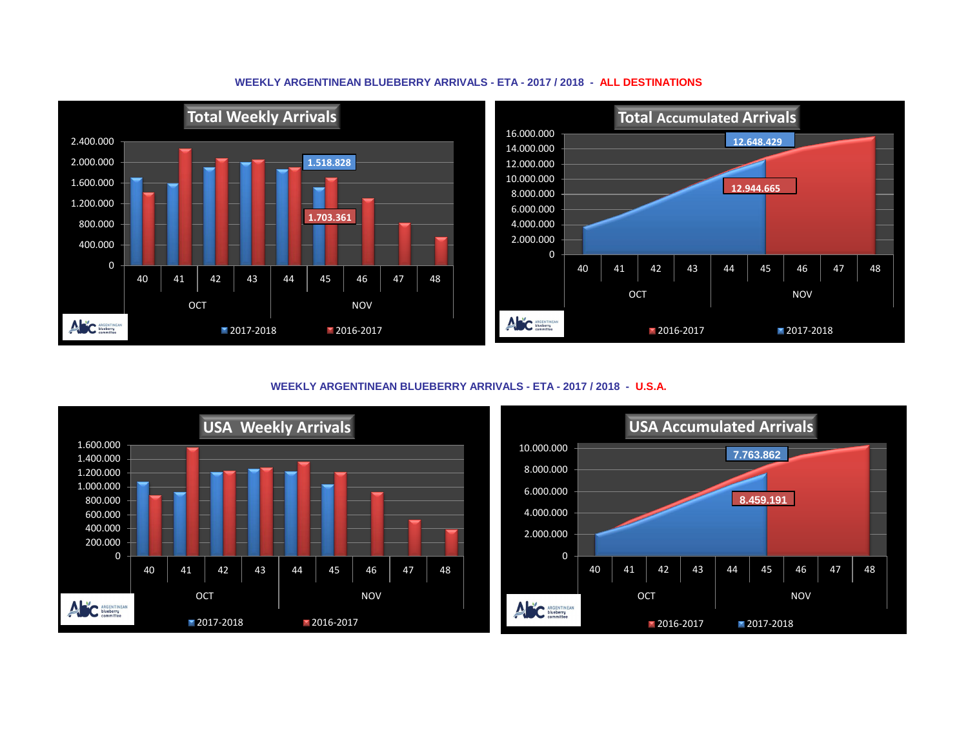



**WEEKLY ARGENTINEAN BLUEBERRY ARRIVALS - ETA - 2017 / 2018 - U.S.A.**



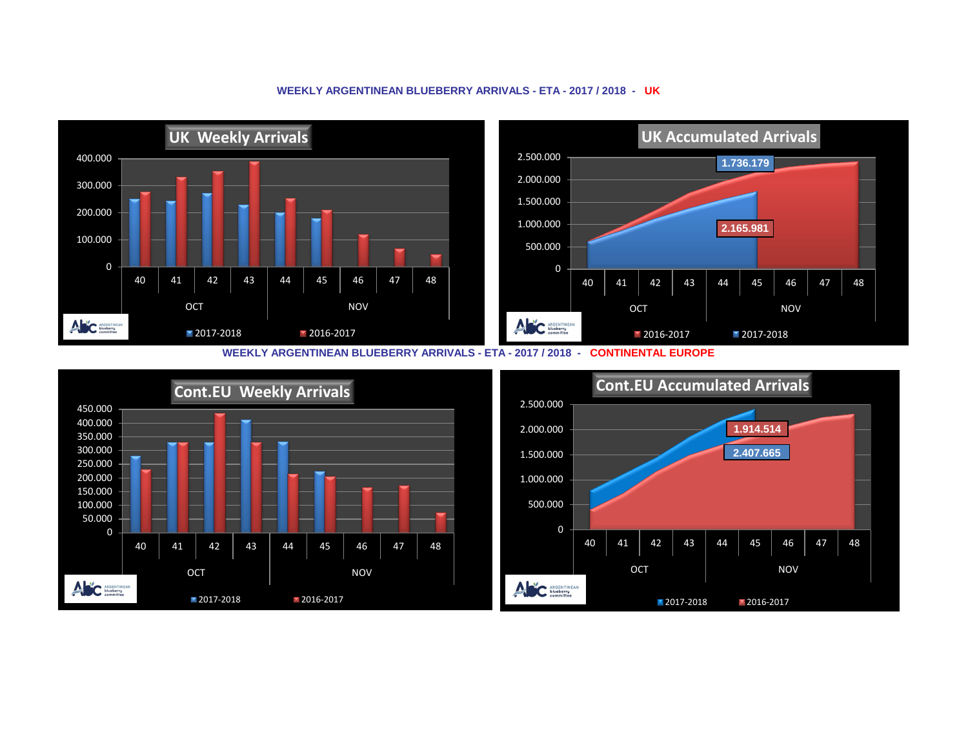## **UK Accumulated Arrivals UK Weekly Arrivals**  2.500.000 400.000 **1.736.179** 2.000.000 300.000 1.500.000 200.000 1.000.000 **2.165.981** 100.000 500.000 0 0 40 | 41 | 42 | 43 | 44 | 45 | 46 | 47 | 48 40 | 41 | 42 | 43 | 44 | 45 | 46 | 47 | 48 OCT NOV OCT NOV ANC ARGENTINEAN ANC ARGENTINEAN 2017-2018 2016-2017 **2016-2017** 2017-2018

## **WEEKLY ARGENTINEAN BLUEBERRY ARRIVALS - ETA - 2017 / 2018 - UK**

**WEEKLY ARGENTINEAN BLUEBERRY ARRIVALS - ETA - 2017 / 2018 - CONTINENTAL EUROPE**